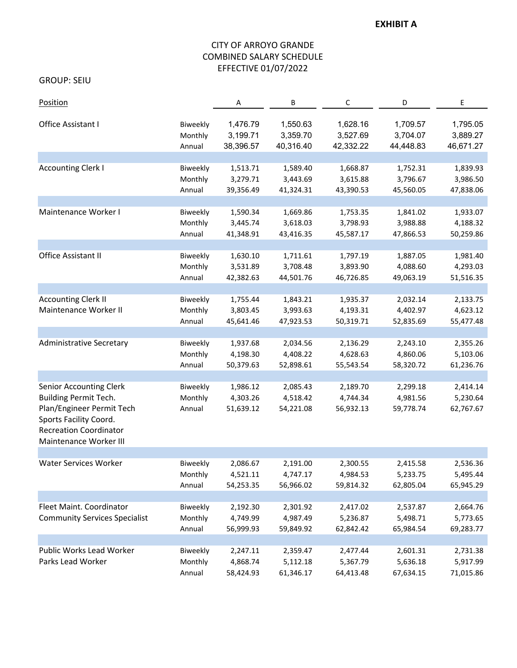### **EXHIBIT A**

# CITY OF ARROYO GRANDE COMBINED SALARY SCHEDULE EFFECTIVE 01/07/2022

GROUP: SEIU

| Position                                                                                                                                                                  |                               | Α                                 | В                                 | $\mathsf C$                       | D                                 | Ε                                 |
|---------------------------------------------------------------------------------------------------------------------------------------------------------------------------|-------------------------------|-----------------------------------|-----------------------------------|-----------------------------------|-----------------------------------|-----------------------------------|
| Office Assistant I                                                                                                                                                        | Biweekly                      | 1,476.79                          | 1,550.63                          | 1,628.16                          | 1,709.57                          | 1,795.05                          |
|                                                                                                                                                                           | Monthly                       | 3,199.71                          | 3,359.70                          | 3,527.69                          | 3,704.07                          | 3,889.27                          |
|                                                                                                                                                                           | Annual                        | 38,396.57                         | 40,316.40                         | 42,332.22                         | 44,448.83                         | 46,671.27                         |
| <b>Accounting Clerk I</b>                                                                                                                                                 | Biweekly                      | 1,513.71                          | 1,589.40                          | 1,668.87                          | 1,752.31                          | 1,839.93                          |
|                                                                                                                                                                           | Monthly                       | 3,279.71                          | 3,443.69                          | 3,615.88                          | 3,796.67                          | 3,986.50                          |
|                                                                                                                                                                           | Annual                        | 39,356.49                         | 41,324.31                         | 43,390.53                         | 45,560.05                         | 47,838.06                         |
| Maintenance Worker I                                                                                                                                                      | Biweekly                      | 1,590.34                          | 1,669.86                          | 1,753.35                          | 1,841.02                          | 1,933.07                          |
|                                                                                                                                                                           | Monthly                       | 3,445.74                          | 3,618.03                          | 3,798.93                          | 3,988.88                          | 4,188.32                          |
|                                                                                                                                                                           | Annual                        | 41,348.91                         | 43,416.35                         | 45,587.17                         | 47,866.53                         | 50,259.86                         |
| Office Assistant II                                                                                                                                                       | Biweekly                      | 1,630.10                          | 1,711.61                          | 1,797.19                          | 1,887.05                          | 1,981.40                          |
|                                                                                                                                                                           | Monthly                       | 3,531.89                          | 3,708.48                          | 3,893.90                          | 4,088.60                          | 4,293.03                          |
|                                                                                                                                                                           | Annual                        | 42,382.63                         | 44,501.76                         | 46,726.85                         | 49,063.19                         | 51,516.35                         |
| <b>Accounting Clerk II</b><br>Maintenance Worker II                                                                                                                       | Biweekly<br>Monthly<br>Annual | 1,755.44<br>3,803.45<br>45,641.46 | 1,843.21<br>3,993.63<br>47,923.53 | 1,935.37<br>4,193.31<br>50,319.71 | 2,032.14<br>4,402.97<br>52,835.69 | 2,133.75<br>4,623.12<br>55,477.48 |
| <b>Administrative Secretary</b>                                                                                                                                           | Biweekly                      | 1,937.68                          | 2,034.56                          | 2,136.29                          | 2,243.10                          | 2,355.26                          |
|                                                                                                                                                                           | Monthly                       | 4,198.30                          | 4,408.22                          | 4,628.63                          | 4,860.06                          | 5,103.06                          |
|                                                                                                                                                                           | Annual                        | 50,379.63                         | 52,898.61                         | 55,543.54                         | 58,320.72                         | 61,236.76                         |
| <b>Senior Accounting Clerk</b><br>Building Permit Tech.<br>Plan/Engineer Permit Tech<br>Sports Facility Coord.<br><b>Recreation Coordinator</b><br>Maintenance Worker III | Biweekly<br>Monthly<br>Annual | 1,986.12<br>4,303.26<br>51,639.12 | 2,085.43<br>4,518.42<br>54,221.08 | 2,189.70<br>4,744.34<br>56,932.13 | 2,299.18<br>4,981.56<br>59,778.74 | 2,414.14<br>5,230.64<br>62,767.67 |
| Water Services Worker                                                                                                                                                     | Biweekly                      | 2,086.67                          | 2,191.00                          | 2,300.55                          | 2,415.58                          | 2,536.36                          |
|                                                                                                                                                                           | Monthly                       | 4,521.11                          | 4,747.17                          | 4,984.53                          | 5,233.75                          | 5,495.44                          |
|                                                                                                                                                                           | Annual                        | 54,253.35                         | 56,966.02                         | 59,814.32                         | 62,805.04                         | 65,945.29                         |
| Fleet Maint. Coordinator<br><b>Community Services Specialist</b>                                                                                                          | Biweekly<br>Monthly<br>Annual | 2,192.30<br>4,749.99<br>56,999.93 | 2,301.92<br>4,987.49<br>59,849.92 | 2,417.02<br>5,236.87<br>62,842.42 | 2,537.87<br>5,498.71<br>65,984.54 | 2,664.76<br>5,773.65<br>69,283.77 |
| Public Works Lead Worker<br>Parks Lead Worker                                                                                                                             | Biweekly<br>Monthly<br>Annual | 2,247.11<br>4,868.74<br>58,424.93 | 2,359.47<br>5,112.18<br>61,346.17 | 2,477.44<br>5,367.79<br>64,413.48 | 2,601.31<br>5,636.18<br>67,634.15 | 2,731.38<br>5,917.99<br>71,015.86 |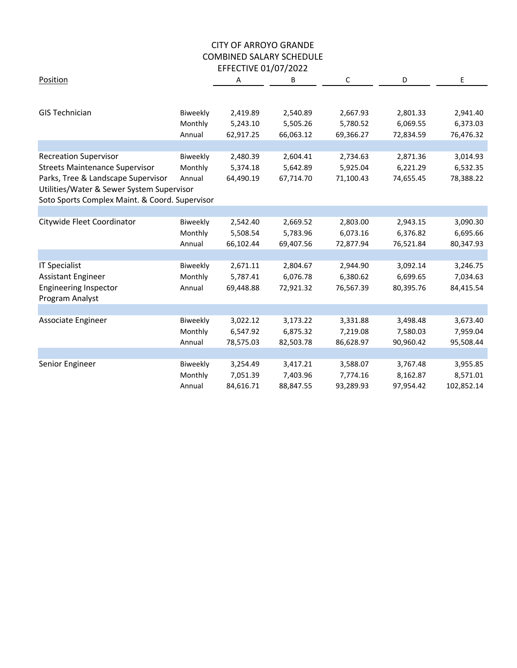|                                                |          | EFFECTIVE UI/UI/ZUZZ |           |           |           |            |
|------------------------------------------------|----------|----------------------|-----------|-----------|-----------|------------|
| Position                                       |          | Α                    | В         | C         | D         | Ε          |
|                                                |          |                      |           |           |           |            |
| <b>GIS Technician</b>                          | Biweekly | 2,419.89             | 2,540.89  | 2,667.93  | 2,801.33  | 2,941.40   |
|                                                | Monthly  | 5,243.10             | 5,505.26  | 5,780.52  | 6,069.55  | 6,373.03   |
|                                                | Annual   | 62,917.25            | 66,063.12 | 69,366.27 | 72,834.59 | 76,476.32  |
|                                                |          |                      |           |           |           |            |
| <b>Recreation Supervisor</b>                   | Biweekly | 2,480.39             | 2,604.41  | 2,734.63  | 2,871.36  | 3,014.93   |
| <b>Streets Maintenance Supervisor</b>          | Monthly  | 5,374.18             | 5,642.89  | 5,925.04  | 6,221.29  | 6,532.35   |
| Parks, Tree & Landscape Supervisor             | Annual   | 64,490.19            | 67,714.70 | 71,100.43 | 74,655.45 | 78,388.22  |
| Utilities/Water & Sewer System Supervisor      |          |                      |           |           |           |            |
| Soto Sports Complex Maint. & Coord. Supervisor |          |                      |           |           |           |            |
|                                                |          |                      |           |           |           |            |
| Citywide Fleet Coordinator                     | Biweekly | 2,542.40             | 2,669.52  | 2,803.00  | 2,943.15  | 3,090.30   |
|                                                | Monthly  | 5,508.54             | 5,783.96  | 6,073.16  | 6,376.82  | 6,695.66   |
|                                                | Annual   | 66,102.44            | 69,407.56 | 72,877.94 | 76,521.84 | 80,347.93  |
|                                                |          |                      |           |           |           |            |
| <b>IT Specialist</b>                           | Biweekly | 2,671.11             | 2,804.67  | 2,944.90  | 3,092.14  | 3,246.75   |
| Assistant Engineer                             | Monthly  | 5,787.41             | 6,076.78  | 6,380.62  | 6,699.65  | 7,034.63   |
| <b>Engineering Inspector</b>                   | Annual   | 69,448.88            | 72,921.32 | 76,567.39 | 80,395.76 | 84,415.54  |
| Program Analyst                                |          |                      |           |           |           |            |
|                                                |          |                      |           |           |           |            |
| Associate Engineer                             | Biweekly | 3,022.12             | 3,173.22  | 3,331.88  | 3,498.48  | 3,673.40   |
|                                                | Monthly  | 6,547.92             | 6,875.32  | 7,219.08  | 7,580.03  | 7,959.04   |
|                                                | Annual   | 78,575.03            | 82,503.78 | 86,628.97 | 90,960.42 | 95,508.44  |
|                                                |          |                      |           |           |           |            |
| Senior Engineer                                | Biweekly | 3,254.49             | 3,417.21  | 3,588.07  | 3,767.48  | 3,955.85   |
|                                                | Monthly  | 7,051.39             | 7,403.96  | 7,774.16  | 8,162.87  | 8,571.01   |
|                                                | Annual   | 84,616.71            | 88,847.55 | 93,289.93 | 97,954.42 | 102,852.14 |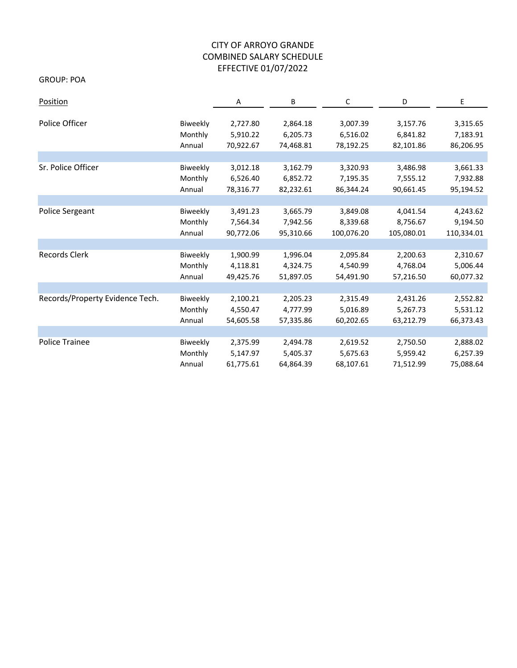GROUP: POA

| Position                        |          | Α         | В         | C          | D          | Ε          |
|---------------------------------|----------|-----------|-----------|------------|------------|------------|
|                                 |          |           |           |            |            |            |
| Police Officer                  | Biweekly | 2,727.80  | 2,864.18  | 3,007.39   | 3,157.76   | 3,315.65   |
|                                 | Monthly  | 5,910.22  | 6,205.73  | 6,516.02   | 6,841.82   | 7,183.91   |
|                                 | Annual   | 70,922.67 | 74,468.81 | 78,192.25  | 82,101.86  | 86,206.95  |
|                                 |          |           |           |            |            |            |
| Sr. Police Officer              | Biweekly | 3,012.18  | 3,162.79  | 3,320.93   | 3,486.98   | 3,661.33   |
|                                 | Monthly  | 6,526.40  | 6,852.72  | 7,195.35   | 7,555.12   | 7,932.88   |
|                                 | Annual   | 78,316.77 | 82,232.61 | 86,344.24  | 90,661.45  | 95,194.52  |
|                                 |          |           |           |            |            |            |
| Police Sergeant                 | Biweekly | 3,491.23  | 3,665.79  | 3,849.08   | 4,041.54   | 4,243.62   |
|                                 | Monthly  | 7,564.34  | 7,942.56  | 8,339.68   | 8,756.67   | 9,194.50   |
|                                 | Annual   | 90,772.06 | 95,310.66 | 100,076.20 | 105,080.01 | 110,334.01 |
|                                 |          |           |           |            |            |            |
| Records Clerk                   | Biweekly | 1,900.99  | 1,996.04  | 2,095.84   | 2,200.63   | 2,310.67   |
|                                 | Monthly  | 4,118.81  | 4,324.75  | 4,540.99   | 4,768.04   | 5,006.44   |
|                                 | Annual   | 49,425.76 | 51,897.05 | 54,491.90  | 57,216.50  | 60,077.32  |
|                                 |          |           |           |            |            |            |
| Records/Property Evidence Tech. | Biweekly | 2,100.21  | 2,205.23  | 2,315.49   | 2,431.26   | 2,552.82   |
|                                 | Monthly  | 4,550.47  | 4,777.99  | 5,016.89   | 5,267.73   | 5,531.12   |
|                                 | Annual   | 54,605.58 | 57,335.86 | 60,202.65  | 63,212.79  | 66,373.43  |
|                                 |          |           |           |            |            |            |
| Police Trainee                  | Biweekly | 2,375.99  | 2,494.78  | 2,619.52   | 2,750.50   | 2,888.02   |
|                                 | Monthly  | 5,147.97  | 5,405.37  | 5,675.63   | 5,959.42   | 6,257.39   |
|                                 | Annual   | 61,775.61 | 64,864.39 | 68,107.61  | 71,512.99  | 75,088.64  |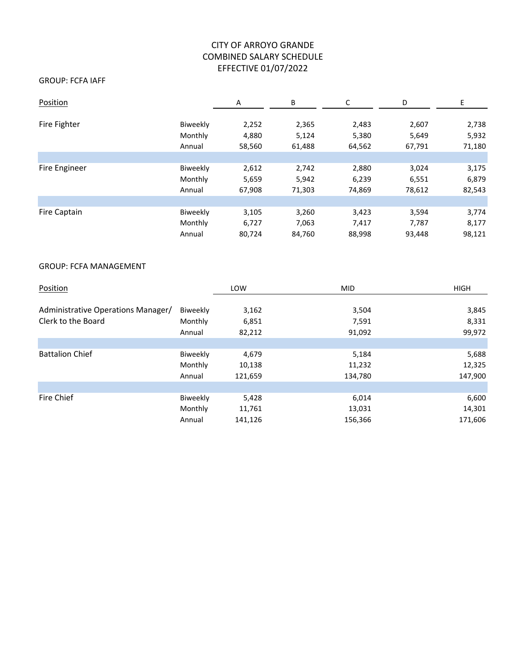### GROUP: FCFA IAFF

| Position      |          | Α      | В      | C      | D      | Ε      |
|---------------|----------|--------|--------|--------|--------|--------|
| Fire Fighter  | Biweekly | 2,252  | 2,365  | 2,483  | 2,607  | 2,738  |
|               | Monthly  | 4,880  | 5,124  | 5,380  | 5,649  | 5,932  |
|               | Annual   | 58,560 | 61,488 | 64,562 | 67,791 | 71,180 |
|               |          |        |        |        |        |        |
| Fire Engineer | Biweekly | 2,612  | 2,742  | 2,880  | 3,024  | 3,175  |
|               | Monthly  | 5,659  | 5,942  | 6,239  | 6,551  | 6,879  |
|               | Annual   | 67,908 | 71,303 | 74,869 | 78,612 | 82,543 |
|               |          |        |        |        |        |        |
| Fire Captain  | Biweekly | 3,105  | 3,260  | 3,423  | 3,594  | 3,774  |
|               | Monthly  | 6,727  | 7,063  | 7,417  | 7,787  | 8,177  |
|               | Annual   | 80,724 | 84,760 | 88,998 | 93,448 | 98,121 |

#### GROUP: FCFA MANAGEMENT

| Position                           |          | LOW     | <b>MID</b> | <b>HIGH</b> |
|------------------------------------|----------|---------|------------|-------------|
| Administrative Operations Manager/ | Biweekly | 3,162   | 3,504      | 3,845       |
| Clerk to the Board                 | Monthly  | 6,851   | 7,591      | 8,331       |
|                                    | Annual   | 82,212  | 91,092     | 99,972      |
|                                    |          |         |            |             |
| <b>Battalion Chief</b>             | Biweekly | 4,679   | 5,184      | 5,688       |
|                                    | Monthly  | 10,138  | 11,232     | 12,325      |
|                                    | Annual   | 121,659 | 134,780    | 147,900     |
|                                    |          |         |            |             |
| Fire Chief                         | Biweekly | 5,428   | 6,014      | 6,600       |
|                                    | Monthly  | 11,761  | 13,031     | 14,301      |
|                                    | Annual   | 141,126 | 156,366    | 171,606     |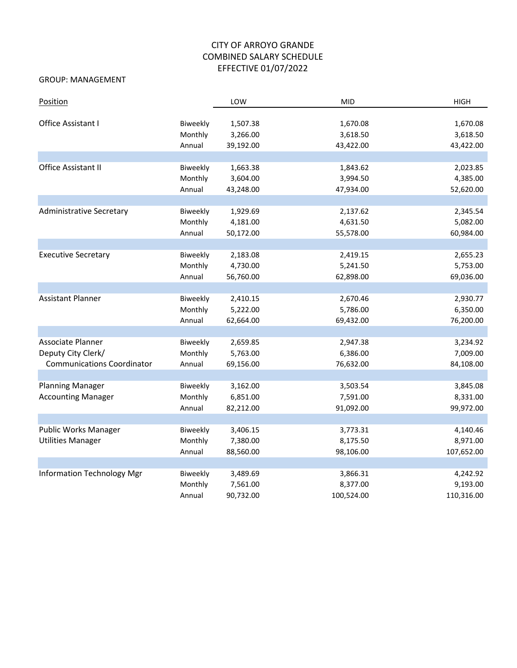### GROUP: MANAGEMENT

| Position                          |          | LOW       | <b>MID</b> | <b>HIGH</b> |
|-----------------------------------|----------|-----------|------------|-------------|
|                                   |          |           |            |             |
| Office Assistant I                | Biweekly | 1,507.38  | 1,670.08   | 1,670.08    |
|                                   | Monthly  | 3,266.00  | 3,618.50   | 3,618.50    |
|                                   | Annual   | 39,192.00 | 43,422.00  | 43,422.00   |
|                                   |          |           |            |             |
| Office Assistant II               | Biweekly | 1,663.38  | 1,843.62   | 2,023.85    |
|                                   | Monthly  | 3,604.00  | 3,994.50   | 4,385.00    |
|                                   | Annual   | 43,248.00 | 47,934.00  | 52,620.00   |
|                                   |          |           |            |             |
| <b>Administrative Secretary</b>   | Biweekly | 1,929.69  | 2,137.62   | 2,345.54    |
|                                   | Monthly  | 4,181.00  | 4,631.50   | 5,082.00    |
|                                   | Annual   | 50,172.00 | 55,578.00  | 60,984.00   |
|                                   |          |           |            |             |
| <b>Executive Secretary</b>        | Biweekly | 2,183.08  | 2,419.15   | 2,655.23    |
|                                   | Monthly  | 4,730.00  | 5,241.50   | 5,753.00    |
|                                   | Annual   | 56,760.00 | 62,898.00  | 69,036.00   |
|                                   |          |           |            |             |
| <b>Assistant Planner</b>          | Biweekly | 2,410.15  | 2,670.46   | 2,930.77    |
|                                   | Monthly  | 5,222.00  | 5,786.00   | 6,350.00    |
|                                   | Annual   | 62,664.00 | 69,432.00  | 76,200.00   |
|                                   |          |           |            |             |
| Associate Planner                 | Biweekly | 2,659.85  | 2,947.38   | 3,234.92    |
| Deputy City Clerk/                | Monthly  | 5,763.00  | 6,386.00   | 7,009.00    |
| <b>Communications Coordinator</b> | Annual   | 69,156.00 | 76,632.00  | 84,108.00   |
|                                   |          |           |            |             |
| <b>Planning Manager</b>           | Biweekly | 3,162.00  | 3,503.54   | 3,845.08    |
| <b>Accounting Manager</b>         | Monthly  | 6,851.00  | 7,591.00   | 8,331.00    |
|                                   | Annual   | 82,212.00 | 91,092.00  | 99,972.00   |
|                                   |          |           |            |             |
| Public Works Manager              | Biweekly | 3,406.15  | 3,773.31   | 4,140.46    |
| <b>Utilities Manager</b>          | Monthly  | 7,380.00  | 8,175.50   | 8,971.00    |
|                                   | Annual   | 88,560.00 | 98,106.00  | 107,652.00  |
|                                   |          |           |            |             |
| <b>Information Technology Mgr</b> | Biweekly | 3,489.69  | 3,866.31   | 4,242.92    |
|                                   | Monthly  | 7,561.00  | 8,377.00   | 9,193.00    |
|                                   | Annual   | 90,732.00 | 100,524.00 | 110,316.00  |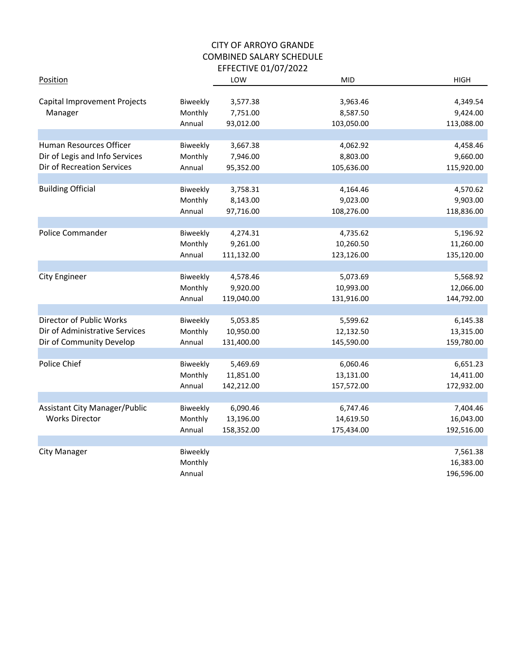| Position                                |                     | LOW                  | <b>MID</b>           | <b>HIGH</b>          |
|-----------------------------------------|---------------------|----------------------|----------------------|----------------------|
| Capital Improvement Projects<br>Manager | Biweekly<br>Monthly | 3,577.38<br>7,751.00 | 3,963.46<br>8,587.50 | 4,349.54<br>9,424.00 |
|                                         | Annual              | 93,012.00            | 103,050.00           | 113,088.00           |
|                                         |                     |                      |                      |                      |
| Human Resources Officer                 | <b>Biweekly</b>     | 3,667.38             | 4,062.92             | 4,458.46             |
| Dir of Legis and Info Services          | Monthly             | 7,946.00             | 8,803.00             | 9,660.00             |
| Dir of Recreation Services              | Annual              | 95,352.00            | 105,636.00           | 115,920.00           |
|                                         |                     |                      |                      |                      |
| <b>Building Official</b>                | Biweekly            | 3,758.31             | 4,164.46             | 4,570.62             |
|                                         | Monthly             | 8,143.00             | 9,023.00             | 9,903.00             |
|                                         | Annual              | 97,716.00            | 108,276.00           | 118,836.00           |
|                                         |                     |                      |                      |                      |
| Police Commander                        | Biweekly            | 4,274.31             | 4,735.62             | 5,196.92             |
|                                         | Monthly             | 9,261.00             | 10,260.50            | 11,260.00            |
|                                         | Annual              | 111,132.00           | 123,126.00           | 135,120.00           |
|                                         |                     |                      |                      |                      |
| <b>City Engineer</b>                    | Biweekly            | 4,578.46             | 5,073.69             | 5,568.92             |
|                                         | Monthly             | 9,920.00             | 10,993.00            | 12,066.00            |
|                                         | Annual              | 119,040.00           | 131,916.00           | 144,792.00           |
| Director of Public Works                |                     |                      |                      |                      |
|                                         | Biweekly            | 5,053.85             | 5,599.62             | 6,145.38             |
| Dir of Administrative Services          | Monthly             | 10,950.00            | 12,132.50            | 13,315.00            |
| Dir of Community Develop                | Annual              | 131,400.00           | 145,590.00           | 159,780.00           |
| Police Chief                            | Biweekly            | 5,469.69             | 6,060.46             | 6,651.23             |
|                                         | Monthly             | 11,851.00            | 13,131.00            | 14,411.00            |
|                                         | Annual              | 142,212.00           | 157,572.00           | 172,932.00           |
|                                         |                     |                      |                      |                      |
| <b>Assistant City Manager/Public</b>    | Biweekly            | 6,090.46             | 6,747.46             | 7,404.46             |
| <b>Works Director</b>                   | Monthly             | 13,196.00            | 14,619.50            | 16,043.00            |
|                                         | Annual              | 158,352.00           | 175,434.00           | 192,516.00           |
|                                         |                     |                      |                      |                      |
| City Manager                            | Biweekly            |                      |                      | 7,561.38             |
|                                         | Monthly             |                      |                      | 16,383.00            |
|                                         | Annual              |                      |                      | 196,596.00           |